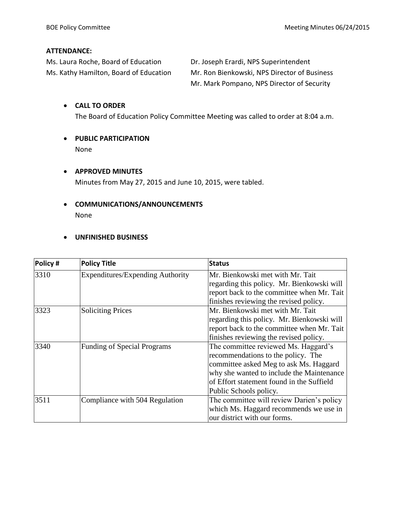#### **ATTENDANCE:**

Ms. Laura Roche, Board of Education Dr. Joseph Erardi, NPS Superintendent

Ms. Kathy Hamilton, Board of Education Mr. Ron Bienkowski, NPS Director of Business Mr. Mark Pompano, NPS Director of Security

#### **CALL TO ORDER**

The Board of Education Policy Committee Meeting was called to order at 8:04 a.m.

 **PUBLIC PARTICIPATION** None

# **APPROVED MINUTES**

Minutes from May 27, 2015 and June 10, 2015, were tabled.

# **COMMUNICATIONS/ANNOUNCEMENTS** None

#### **UNFINISHED BUSINESS**

| Policy# | <b>Policy Title</b>                     | <b>Status</b>                                                                                                                                                                                                                            |  |
|---------|-----------------------------------------|------------------------------------------------------------------------------------------------------------------------------------------------------------------------------------------------------------------------------------------|--|
| 3310    | <b>Expenditures/Expending Authority</b> | Mr. Bienkowski met with Mr. Tait<br>regarding this policy. Mr. Bienkowski will<br>report back to the committee when Mr. Tait<br>finishes reviewing the revised policy.                                                                   |  |
| 3323    | <b>Soliciting Prices</b>                | Mr. Bienkowski met with Mr. Tait<br>regarding this policy. Mr. Bienkowski will<br>report back to the committee when Mr. Tait<br>finishes reviewing the revised policy.                                                                   |  |
| 3340    | <b>Funding of Special Programs</b>      | The committee reviewed Ms. Haggard's<br>recommendations to the policy. The<br>committee asked Meg to ask Ms. Haggard<br>why she wanted to include the Maintenance<br>of Effort statement found in the Suffield<br>Public Schools policy. |  |
| 3511    | Compliance with 504 Regulation          | The committee will review Darien's policy<br>which Ms. Haggard recommends we use in<br>our district with our forms.                                                                                                                      |  |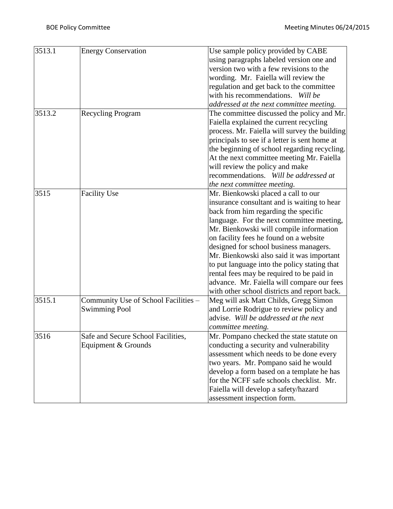| 3513.1 | <b>Energy Conservation</b>           | Use sample policy provided by CABE            |
|--------|--------------------------------------|-----------------------------------------------|
|        |                                      | using paragraphs labeled version one and      |
|        |                                      | version two with a few revisions to the       |
|        |                                      | wording. Mr. Faiella will review the          |
|        |                                      | regulation and get back to the committee      |
|        |                                      | with his recommendations. Will be             |
|        |                                      | addressed at the next committee meeting.      |
| 3513.2 | <b>Recycling Program</b>             | The committee discussed the policy and Mr.    |
|        |                                      | Faiella explained the current recycling       |
|        |                                      | process. Mr. Faiella will survey the building |
|        |                                      | principals to see if a letter is sent home at |
|        |                                      |                                               |
|        |                                      | the beginning of school regarding recycling.  |
|        |                                      | At the next committee meeting Mr. Faiella     |
|        |                                      | will review the policy and make               |
|        |                                      | recommendations. Will be addressed at         |
|        |                                      | the next committee meeting.                   |
| 3515   | <b>Facility Use</b>                  | Mr. Bienkowski placed a call to our           |
|        |                                      | insurance consultant and is waiting to hear   |
|        |                                      | back from him regarding the specific          |
|        |                                      | language. For the next committee meeting,     |
|        |                                      | Mr. Bienkowski will compile information       |
|        |                                      | on facility fees he found on a website        |
|        |                                      | designed for school business managers.        |
|        |                                      | Mr. Bienkowski also said it was important     |
|        |                                      | to put language into the policy stating that  |
|        |                                      | rental fees may be required to be paid in     |
|        |                                      | advance. Mr. Faiella will compare our fees    |
|        |                                      | with other school districts and report back.  |
| 3515.1 | Community Use of School Facilities - | Meg will ask Matt Childs, Gregg Simon         |
|        | <b>Swimming Pool</b>                 | and Lorrie Rodrigue to review policy and      |
|        |                                      | advise. Will be addressed at the next         |
|        |                                      | committee meeting.                            |
| 3516   | Safe and Secure School Facilities,   | Mr. Pompano checked the state statute on      |
|        | Equipment & Grounds                  | conducting a security and vulnerability       |
|        |                                      |                                               |
|        |                                      | assessment which needs to be done every       |
|        |                                      | two years. Mr. Pompano said he would          |
|        |                                      | develop a form based on a template he has     |
|        |                                      | for the NCFF safe schools checklist. Mr.      |
|        |                                      | Faiella will develop a safety/hazard          |
|        |                                      | assessment inspection form.                   |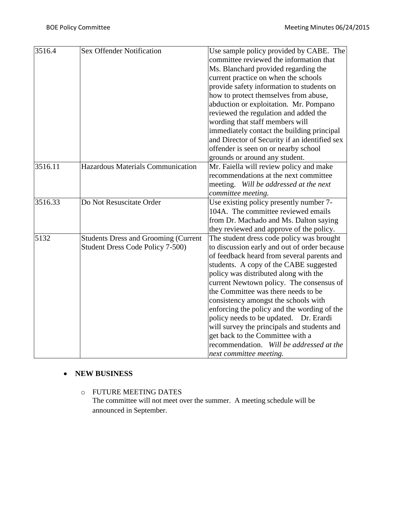| 3516.4  | Sex Offender Notification                   | Use sample policy provided by CABE. The       |  |
|---------|---------------------------------------------|-----------------------------------------------|--|
|         |                                             | committee reviewed the information that       |  |
|         |                                             | Ms. Blanchard provided regarding the          |  |
|         |                                             | current practice on when the schools          |  |
|         |                                             | provide safety information to students on     |  |
|         |                                             | how to protect themselves from abuse,         |  |
|         |                                             | abduction or exploitation. Mr. Pompano        |  |
|         |                                             | reviewed the regulation and added the         |  |
|         |                                             | wording that staff members will               |  |
|         |                                             | immediately contact the building principal    |  |
|         |                                             | and Director of Security if an identified sex |  |
|         |                                             | offender is seen on or nearby school          |  |
|         |                                             | grounds or around any student.                |  |
| 3516.11 | Hazardous Materials Communication           | Mr. Faiella will review policy and make       |  |
|         |                                             | recommendations at the next committee         |  |
|         |                                             | meeting. Will be addressed at the next        |  |
|         |                                             | committee meeting.                            |  |
| 3516.33 | Do Not Resuscitate Order                    | Use existing policy presently number 7-       |  |
|         |                                             | 104A. The committee reviewed emails           |  |
|         |                                             | from Dr. Machado and Ms. Dalton saying        |  |
|         |                                             | they reviewed and approve of the policy.      |  |
| 5132    | <b>Students Dress and Grooming (Current</b> | The student dress code policy was brought     |  |
|         | Student Dress Code Policy 7-500)            | to discussion early and out of order because  |  |
|         |                                             | of feedback heard from several parents and    |  |
|         |                                             | students. A copy of the CABE suggested        |  |
|         |                                             | policy was distributed along with the         |  |
|         |                                             | current Newtown policy. The consensus of      |  |
|         |                                             | the Committee was there needs to be           |  |
|         |                                             | consistency amongst the schools with          |  |
|         |                                             | enforcing the policy and the wording of the   |  |
|         |                                             | policy needs to be updated. Dr. Erardi        |  |
|         |                                             | will survey the principals and students and   |  |
|         |                                             | get back to the Committee with a              |  |
|         |                                             | recommendation. Will be addressed at the      |  |
|         |                                             | next committee meeting.                       |  |

### **NEW BUSINESS**

# o FUTURE MEETING DATES

The committee will not meet over the summer. A meeting schedule will be announced in September.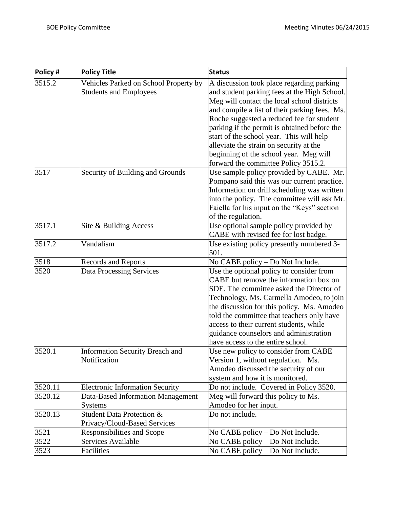| Policy # | <b>Policy Title</b>                    | <b>Status</b>                                 |  |
|----------|----------------------------------------|-----------------------------------------------|--|
| 3515.2   | Vehicles Parked on School Property by  | A discussion took place regarding parking     |  |
|          | <b>Students and Employees</b>          | and student parking fees at the High School.  |  |
|          |                                        | Meg will contact the local school districts   |  |
|          |                                        | and compile a list of their parking fees. Ms. |  |
|          |                                        | Roche suggested a reduced fee for student     |  |
|          |                                        | parking if the permit is obtained before the  |  |
|          |                                        | start of the school year. This will help      |  |
|          |                                        | alleviate the strain on security at the       |  |
|          |                                        | beginning of the school year. Meg will        |  |
|          |                                        | forward the committee Policy 3515.2.          |  |
| 3517     | Security of Building and Grounds       | Use sample policy provided by CABE. Mr.       |  |
|          |                                        | Pompano said this was our current practice.   |  |
|          |                                        | Information on drill scheduling was written   |  |
|          |                                        | into the policy. The committee will ask Mr.   |  |
|          |                                        | Faiella for his input on the "Keys" section   |  |
|          |                                        | of the regulation.                            |  |
| 3517.1   | Site & Building Access                 | Use optional sample policy provided by        |  |
|          |                                        | CABE with revised fee for lost badge.         |  |
| 3517.2   | Vandalism                              | Use existing policy presently numbered 3-     |  |
|          |                                        | 501.                                          |  |
| 3518     | Records and Reports                    | No CABE policy – Do Not Include.              |  |
| 3520     | <b>Data Processing Services</b>        | Use the optional policy to consider from      |  |
|          |                                        | CABE but remove the information box on        |  |
|          |                                        | SDE. The committee asked the Director of      |  |
|          |                                        | Technology, Ms. Carmella Amodeo, to join      |  |
|          |                                        | the discussion for this policy. Ms. Amodeo    |  |
|          |                                        | told the committee that teachers only have    |  |
|          |                                        | access to their current students, while       |  |
|          |                                        | guidance counselors and administration        |  |
|          |                                        | have access to the entire school.             |  |
| 3520.1   | <b>Information Security Breach and</b> | Use new policy to consider from CABE          |  |
|          | Notification                           | Version 1, without regulation. Ms.            |  |
|          |                                        | Amodeo discussed the security of our          |  |
|          |                                        | system and how it is monitored.               |  |
| 3520.11  | <b>Electronic Information Security</b> | Do not include. Covered in Policy 3520.       |  |
| 3520.12  | Data-Based Information Management      | Meg will forward this policy to Ms.           |  |
|          | <b>Systems</b>                         | Amodeo for her input.                         |  |
| 3520.13  | Student Data Protection &              | Do not include.                               |  |
|          | Privacy/Cloud-Based Services           |                                               |  |
| 3521     | Responsibilities and Scope             | No CABE policy – Do Not Include.              |  |
| 3522     | Services Available                     | No CABE policy - Do Not Include.              |  |
| 3523     | Facilities                             | No CABE policy - Do Not Include.              |  |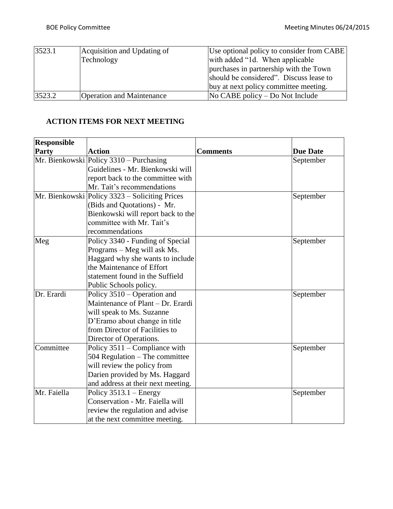| 3523.1 | Acquisition and Updating of      | Use optional policy to consider from CABE   |  |
|--------|----------------------------------|---------------------------------------------|--|
|        | Technology                       | with added "1d. When applicable"            |  |
|        |                                  | purchases in partnership with the Town      |  |
|        |                                  | should be considered". Discuss lease to     |  |
|        |                                  | buy at next policy committee meeting.       |  |
| 3523.2 | <b>Operation and Maintenance</b> | $\overline{N}$ CABE policy – Do Not Include |  |

# **ACTION ITEMS FOR NEXT MEETING**

| <b>Responsible</b> |                                                  |                 |                 |
|--------------------|--------------------------------------------------|-----------------|-----------------|
| Party              | <b>Action</b>                                    | <b>Comments</b> | <b>Due Date</b> |
|                    | Mr. Bienkowski Policy 3310 - Purchasing          |                 | September       |
|                    | Guidelines - Mr. Bienkowski will                 |                 |                 |
|                    | report back to the committee with                |                 |                 |
|                    | Mr. Tait's recommendations                       |                 |                 |
|                    | Mr. Bienkowski   Policy 3323 - Soliciting Prices |                 | September       |
|                    | (Bids and Quotations) - Mr.                      |                 |                 |
|                    | Bienkowski will report back to the               |                 |                 |
|                    | committee with Mr. Tait's                        |                 |                 |
|                    | recommendations                                  |                 |                 |
| Meg                | Policy 3340 - Funding of Special                 |                 | September       |
|                    | Programs – Meg will ask Ms.                      |                 |                 |
|                    | Haggard why she wants to include                 |                 |                 |
|                    | the Maintenance of Effort                        |                 |                 |
|                    | statement found in the Suffield                  |                 |                 |
|                    | Public Schools policy.                           |                 |                 |
| Dr. Erardi         | Policy $3510 -$ Operation and                    |                 | September       |
|                    | Maintenance of Plant – Dr. Erardi                |                 |                 |
|                    | will speak to Ms. Suzanne                        |                 |                 |
|                    | D'Eramo about change in title                    |                 |                 |
|                    | from Director of Facilities to                   |                 |                 |
|                    | Director of Operations.                          |                 |                 |
| Committee          | Policy 3511 – Compliance with                    |                 | September       |
|                    | 504 Regulation - The committee                   |                 |                 |
|                    | will review the policy from                      |                 |                 |
|                    | Darien provided by Ms. Haggard                   |                 |                 |
|                    | and address at their next meeting.               |                 |                 |
| Mr. Faiella        | Policy $3513.1$ – Energy                         |                 | September       |
|                    | Conservation - Mr. Faiella will                  |                 |                 |
|                    | review the regulation and advise                 |                 |                 |
|                    | at the next committee meeting.                   |                 |                 |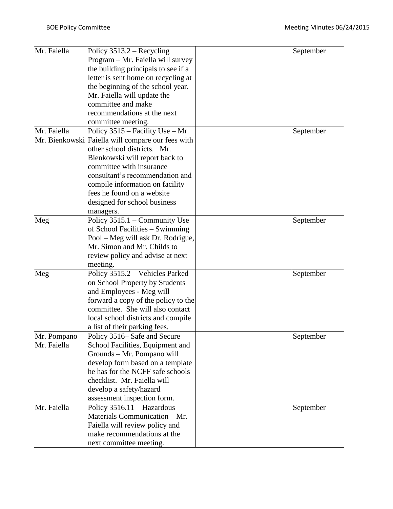| Mr. Faiella | Policy $3513.2$ – Recycling                       | September |
|-------------|---------------------------------------------------|-----------|
|             | Program – Mr. Faiella will survey                 |           |
|             | the building principals to see if a               |           |
|             | letter is sent home on recycling at               |           |
|             | the beginning of the school year.                 |           |
|             | Mr. Faiella will update the                       |           |
|             | committee and make                                |           |
|             | recommendations at the next                       |           |
|             | committee meeting.                                |           |
| Mr. Faiella | Policy $3515$ – Facility Use – Mr.                | September |
|             | Mr. Bienkowski Faiella will compare our fees with |           |
|             | other school districts. Mr.                       |           |
|             | Bienkowski will report back to                    |           |
|             | committee with insurance                          |           |
|             | consultant's recommendation and                   |           |
|             | compile information on facility                   |           |
|             | fees he found on a website                        |           |
|             | designed for school business                      |           |
|             | managers.                                         |           |
| Meg         | Policy 3515.1 – Community Use                     | September |
|             | of School Facilities – Swimming                   |           |
|             | Pool - Meg will ask Dr. Rodrigue,                 |           |
|             | Mr. Simon and Mr. Childs to                       |           |
|             | review policy and advise at next                  |           |
|             | meeting.                                          |           |
| Meg         | Policy 3515.2 - Vehicles Parked                   | September |
|             | on School Property by Students                    |           |
|             | and Employees - Meg will                          |           |
|             | forward a copy of the policy to the               |           |
|             | committee. She will also contact                  |           |
|             | local school districts and compile                |           |
|             | a list of their parking fees.                     |           |
| Mr. Pompano | Policy 3516– Safe and Secure                      | September |
| Mr. Faiella | School Facilities, Equipment and                  |           |
|             | Grounds - Mr. Pompano will                        |           |
|             | develop form based on a template                  |           |
|             | he has for the NCFF safe schools                  |           |
|             | checklist. Mr. Faiella will                       |           |
|             | develop a safety/hazard                           |           |
|             | assessment inspection form.                       |           |
| Mr. Faiella | Policy 3516.11 - Hazardous                        | September |
|             | Materials Communication - Mr.                     |           |
|             | Faiella will review policy and                    |           |
|             | make recommendations at the                       |           |
|             | next committee meeting.                           |           |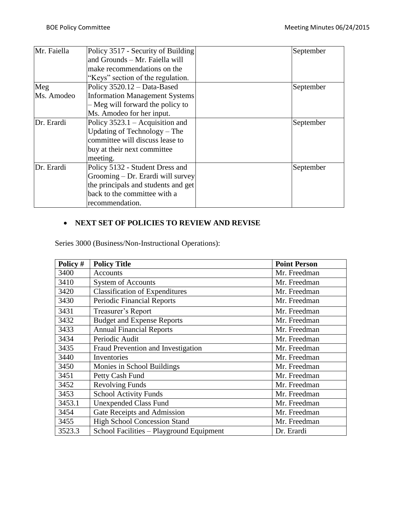| Mr. Faiella | Policy 3517 - Security of Building    | September |
|-------------|---------------------------------------|-----------|
|             | and Grounds - Mr. Faiella will        |           |
|             | make recommendations on the           |           |
|             | "Keys" section of the regulation.     |           |
| Meg         | Policy 3520.12 - Data-Based           | September |
| Ms. Amodeo  | <b>Information Management Systems</b> |           |
|             | - Meg will forward the policy to      |           |
|             | Ms. Amodeo for her input.             |           |
| Dr. Erardi  | Policy $3523.1$ – Acquisition and     | September |
|             | Updating of Technology – The          |           |
|             | committee will discuss lease to       |           |
|             | buy at their next committee           |           |
|             | meeting.                              |           |
| Dr. Erardi  | Policy 5132 - Student Dress and       | September |
|             | Grooming – Dr. Erardi will survey     |           |
|             | the principals and students and get   |           |
|             | back to the committee with a          |           |
|             | recommendation.                       |           |

# **NEXT SET OF POLICIES TO REVIEW AND REVISE**

Series 3000 (Business/Non-Instructional Operations):

| Policy # | <b>Policy Title</b>                      | <b>Point Person</b> |
|----------|------------------------------------------|---------------------|
| 3400     | <b>Accounts</b>                          | Mr. Freedman        |
| 3410     | <b>System of Accounts</b>                | Mr. Freedman        |
| 3420     | <b>Classification of Expenditures</b>    | Mr. Freedman        |
| 3430     | <b>Periodic Financial Reports</b>        | Mr. Freedman        |
| 3431     | Treasurer's Report                       | Mr. Freedman        |
| 3432     | <b>Budget and Expense Reports</b>        | Mr. Freedman        |
| 3433     | <b>Annual Financial Reports</b>          | Mr. Freedman        |
| 3434     | Periodic Audit                           | Mr. Freedman        |
| 3435     | Fraud Prevention and Investigation       | Mr. Freedman        |
| 3440     | Inventories                              | Mr. Freedman        |
| 3450     | Monies in School Buildings               | Mr. Freedman        |
| 3451     | Petty Cash Fund                          | Mr. Freedman        |
| 3452     | <b>Revolving Funds</b>                   | Mr. Freedman        |
| 3453     | <b>School Activity Funds</b>             | Mr. Freedman        |
| 3453.1   | <b>Unexpended Class Fund</b>             | Mr. Freedman        |
| 3454     | Gate Receipts and Admission              | Mr. Freedman        |
| 3455     | <b>High School Concession Stand</b>      | Mr. Freedman        |
| 3523.3   | School Facilities - Playground Equipment | Dr. Erardi          |